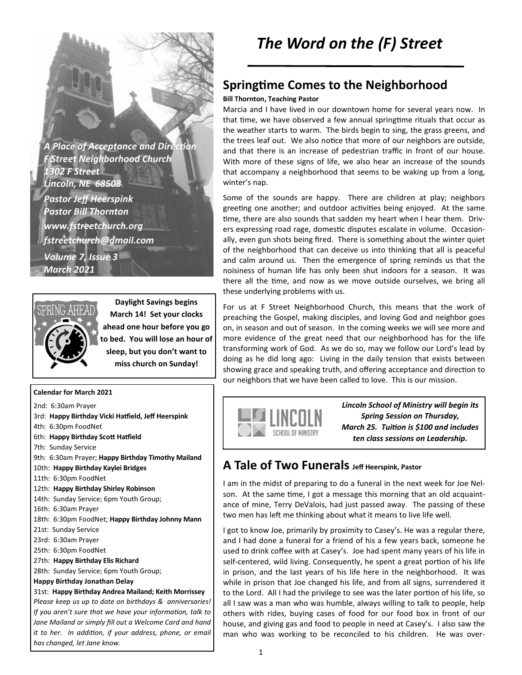*A Place of Acceptance and Direc!on F Street Neighborhood Church 1302 F Street Lincoln, NE 68508 Pastor Jeff Heerspink Pastor Bill Thornton www.fstreetchurch.org fstreetchurch@gmail.com Volume 7, Issue 3 March 2021* 



**Daylight Savings begins March 14! Set your clocks ahead one hour before you go to bed. You will lose an hour of sleep, but you don't want to miss church on Sunday!**

#### **Calendar for March 2021**

2nd: 6:30am Prayer 3rd: Happy Birthday Vicki Hatfield, Jeff Heerspink 4th: 6:30pm FoodNet 6th: Happy Birthday Scott Hatfield 7th: Sunday Service 9th: 6:30am Prayer; **Happy Birthday Timothy Mailand**  10th: **Happy Birthday Kaylei Bridges**  11th: 6:30pm FoodNet 12th: **Happy Birthday Shirley Robinson**  14th: Sunday Service; 6pm Youth Group; 16th: 6:30am Prayer 18th: 6:30pm FoodNet; **Happy Birthday Johnny Mann**  21st: Sunday Service 23rd: 6:30am Prayer 25th: 6:30pm FoodNet 27th: **Happy Birthday Elis Richard**  28th: Sunday Service; 6pm Youth Group; **Happy Birthday Jonathan Delay**  31st: **Happy Birthday Andrea Mailand; Keith Morrissey**  *Please keep us up to date on birthdays & anniversaries! If you aren't sure that we have your information, talk to Jane Mailand or simply fill out a Welcome Card and hand it to her. In addition, if your address, phone, or email has changed, let Jane know.* 

### **Springtime Comes to the Neighborhood**

#### **Bill Thornton, Teaching Pastor**

Marcia and I have lived in our downtown home for several years now. In that time, we have observed a few annual springtime rituals that occur as the weather starts to warm. The birds begin to sing, the grass greens, and the trees leaf out. We also notice that more of our neighbors are outside, and that there is an increase of pedestrian traffic in front of our house. With more of these signs of life, we also hear an increase of the sounds that accompany a neighborhood that seems to be waking up from a long, winter's nap.

Some of the sounds are happy. There are children at play; neighbors greeting one another; and outdoor activities being enjoyed. At the same time, there are also sounds that sadden my heart when I hear them. Drivers expressing road rage, domestic disputes escalate in volume. Occasionally, even gun shots being fired. There is something about the winter quiet of the neighborhood that can deceive us into thinking that all is peaceful and calm around us. Then the emergence of spring reminds us that the noisiness of human life has only been shut indoors for a season. It was there all the time, and now as we move outside ourselves, we bring all these underlying problems with us.

For us at F Street Neighborhood Church, this means that the work of preaching the Gospel, making disciples, and loving God and neighbor goes on, in season and out of season. In the coming weeks we will see more and more evidence of the great need that our neighborhood has for the life transforming work of God. As we do so, may we follow our Lord's lead by doing as he did long ago: Living in the daily tension that exists between showing grace and speaking truth, and offering acceptance and direction to our neighbors that we have been called to love. This is our mission.



*Lincoln School of Ministry will begin its Spring Session on Thursday, March 25. Tuition is \$100 and includes ten class sessions on Leadership.* 

### **A Tale of Two Funerals Jeff Heerspink, Pastor**

I am in the midst of preparing to do a funeral in the next week for Joe Nelson. At the same time, I got a message this morning that an old acquaintance of mine, Terry DeValois, had just passed away. The passing of these two men has left me thinking about what it means to live life well.

I got to know Joe, primarily by proximity to Casey's. He was a regular there, and I had done a funeral for a friend of his a few years back, someone he used to drink coffee with at Casey's. Joe had spent many years of his life in self-centered, wild living. Consequently, he spent a great portion of his life in prison, and the last years of his life here in the neighborhood. It was while in prison that Joe changed his life, and from all signs, surrendered it to the Lord. All I had the privilege to see was the later portion of his life, so all I saw was a man who was humble, always willing to talk to people, help others with rides, buying cases of food for our food box in front of our house, and giving gas and food to people in need at Casey's. I also saw the man who was working to be reconciled to his children. He was over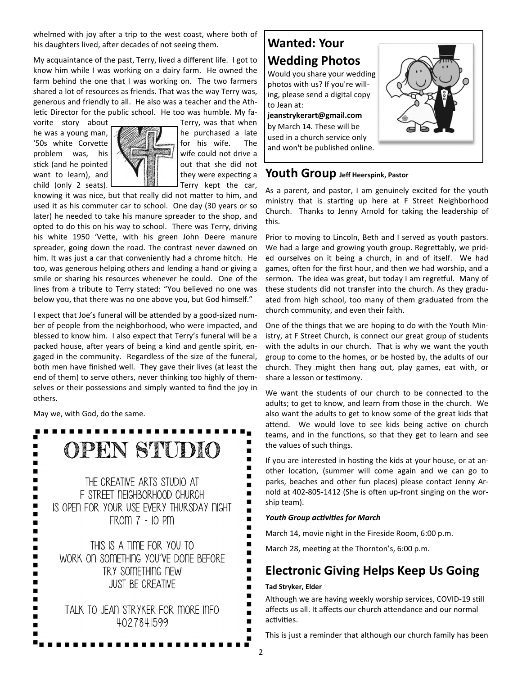whelmed with joy after a trip to the west coast, where both of his daughters lived, after decades of not seeing them.

My acquaintance of the past, Terry, lived a different life. I got to know him while I was working on a dairy farm. He owned the farm behind the one that I was working on. The two farmers shared a lot of resources as friends. That was the way Terry was, generous and friendly to all. He also was a teacher and the Athletic Director for the public school. He too was humble. My fa-

vorite story about Terry, was that when he was a young man,  $\sqrt{\frac{1}{2}}$  he purchased a late '50s white Corvette  $\sqrt{2}$  for his wife. The problem was, his  $\left|\frac{1}{2}\right|$  wife could not drive a stick (and he pointed  $\left\| \mathbf{w} \right\|$  and she did not want to learn), and  $\|\cdot\|$   $\|\cdot\|$  they were expecting a child (only 2 seats).  $\Box$   $\Box$  Terry kept the car,



knowing it was nice, but that really did not matter to him, and used it as his commuter car to school. One day (30 years or so later) he needed to take his manure spreader to the shop, and opted to do this on his way to school. There was Terry, driving his white 1950 'Vette, with his green John Deere manure spreader, going down the road. The contrast never dawned on him. It was just a car that conveniently had a chrome hitch. He too, was generous helping others and lending a hand or giving a smile or sharing his resources whenever he could. One of the lines from a tribute to Terry stated: "You believed no one was below you, that there was no one above you, but God himself."

I expect that Joe's funeral will be attended by a good-sized number of people from the neighborhood, who were impacted, and blessed to know him. I also expect that Terry's funeral will be a packed house, after years of being a kind and gentle spirit, engaged in the community. Regardless of the size of the funeral, both men have finished well. They gave their lives (at least the end of them) to serve others, never thinking too highly of themselves or their possessions and simply wanted to find the joy in others.

May we, with God, do the same.

| STUDIO<br>OPEN                                                                                                             |
|----------------------------------------------------------------------------------------------------------------------------|
| THE CREATIVE ARTS STUDIO AT<br>F STREET NEIGHBORHOOD CHURCH<br>IS OPEN FOR YOUR USE EVERY THURSDAY NIGHT<br>FROM 7 - 10 PM |
| THIS IS A TIME FOR YOU TO<br>WORK ON SOMETHING YOU'VE DONE BEFORE<br>TRY SOMETHING NEW<br><b>JUST BE CREATIVE</b>          |
| TALK TO JEAN STRYKER FOR MORE INFO<br>4027841599                                                                           |

## **Wanted: Your Wedding Photos** Would you share your wedding photos with us? If you're will-

ing, please send a digital copy to Jean at:

### **jeanstrykerart@gmail.com**

by March 14. These will be used in a church service only and won't be published online.



#### **Youth Group Jeff Heerspink, Pastor**

As a parent, and pastor, I am genuinely excited for the youth ministry that is starting up here at F Street Neighborhood Church. Thanks to Jenny Arnold for taking the leadership of this.

Prior to moving to Lincoln, Beth and I served as youth pastors. We had a large and growing youth group. Regrettably, we prided ourselves on it being a church, in and of itself. We had games, often for the first hour, and then we had worship, and a sermon. The idea was great, but today I am regretful. Many of these students did not transfer into the church. As they graduated from high school, too many of them graduated from the church community, and even their faith.

One of the things that we are hoping to do with the Youth Ministry, at F Street Church, is connect our great group of students with the adults in our church. That is why we want the youth group to come to the homes, or be hosted by, the adults of our church. They might then hang out, play games, eat with, or share a lesson or testimony.

We want the students of our church to be connected to the adults; to get to know, and learn from those in the church. We also want the adults to get to know some of the great kids that attend. We would love to see kids being active on church teams, and in the functions, so that they get to learn and see the values of such things.

If you are interested in hosting the kids at your house, or at another location, (summer will come again and we can go to parks, beaches and other fun places) please contact Jenny Arnold at 402-805-1412 (She is often up-front singing on the worship team).

#### **Youth Group activities for March**

March 14, movie night in the Fireside Room, 6:00 p.m.

March 28, meeting at the Thornton's, 6:00 p.m.

## **Electronic Giving Helps Keep Us Going**

#### **Tad Stryker, Elder**

Although we are having weekly worship services, COVID-19 still affects us all. It affects our church attendance and our normal activities.

This is just a reminder that although our church family has been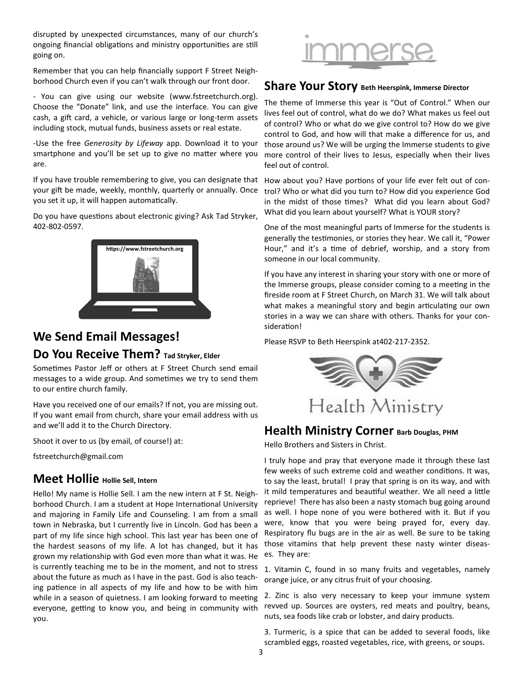disrupted by unexpected circumstances, many of our church's ongoing financial obligations and ministry opportunities are still going on.

Remember that you can help financially support F Street Neighborhood Church even if you can't walk through our front door.

- You can give using our website (www.fstreetchurch.org). Choose the "Donate" link, and use the interface. You can give cash, a gift card, a vehicle, or various large or long-term assets including stock, mutual funds, business assets or real estate.

-Use the free *Generosity by Lifeway* app. Download it to your smartphone and you'll be set up to give no matter where you are.

If you have trouble remembering to give, you can designate that How about you? Have portions of your life ever felt out of conyour gift be made, weekly, monthly, quarterly or annually. Once you set it up, it will happen automatically.

Do you have questions about electronic giving? Ask Tad Stryker, 402-802-0597.



# **We Send Email Messages! Do You Receive Them? Tad Stryker, Elder**

Sometimes Pastor Jeff or others at F Street Church send email messages to a wide group. And sometimes we try to send them to our entire church family.

Have you received one of our emails? If not, you are missing out. If you want email from church, share your email address with us and we'll add it to the Church Directory.

Shoot it over to us (by email, of course!) at:

fstreetchurch@gmail.com

### **Meet Hollie Hollie Sell, Intern**

Hello! My name is Hollie Sell. I am the new intern at F St. Neighborhood Church. I am a student at Hope International University and majoring in Family Life and Counseling. I am from a small town in Nebraska, but I currently live in Lincoln. God has been a part of my life since high school. This last year has been one of the hardest seasons of my life. A lot has changed, but it has grown my relationship with God even more than what it was. He is currently teaching me to be in the moment, and not to stress about the future as much as I have in the past. God is also teaching patience in all aspects of my life and how to be with him while in a season of quietness. I am looking forward to meeting everyone, getting to know you, and being in community with you.



### **Share Your Story Beth Heerspink, Immerse Director**

The theme of Immerse this year is "Out of Control." When our lives feel out of control, what do we do? What makes us feel out of control? Who or what do we give control to? How do we give control to God, and how will that make a difference for us, and those around us? We will be urging the Immerse students to give more control of their lives to Jesus, especially when their lives feel out of control.

trol? Who or what did you turn to? How did you experience God in the midst of those times? What did you learn about God? What did you learn about yourself? What is YOUR story?

One of the most meaningful parts of Immerse for the students is generally the testimonies, or stories they hear. We call it, "Power Hour," and it's a time of debrief, worship, and a story from someone in our local community.

If you have any interest in sharing your story with one or more of the Immerse groups, please consider coming to a meeting in the fireside room at F Street Church, on March 31. We will talk about what makes a meaningful story and begin articulating our own stories in a way we can share with others. Thanks for your consideration!

Please RSVP to Beth Heerspink at402-217-2352.



### **Health Ministry Corner Barb Douglas, PHM**

Hello Brothers and Sisters in Christ.

I truly hope and pray that everyone made it through these last few weeks of such extreme cold and weather conditions. It was, to say the least, brutal! I pray that spring is on its way, and with it mild temperatures and beautiful weather. We all need a little reprieve! There has also been a nasty stomach bug going around as well. I hope none of you were bothered with it. But if you were, know that you were being prayed for, every day. Respiratory flu bugs are in the air as well. Be sure to be taking those vitamins that help prevent these nasty winter diseases. They are:

1. Vitamin C, found in so many fruits and vegetables, namely orange juice, or any citrus fruit of your choosing.

2. Zinc is also very necessary to keep your immune system revved up. Sources are oysters, red meats and poultry, beans, nuts, sea foods like crab or lobster, and dairy products.

3. Turmeric, is a spice that can be added to several foods, like scrambled eggs, roasted vegetables, rice, with greens, or soups.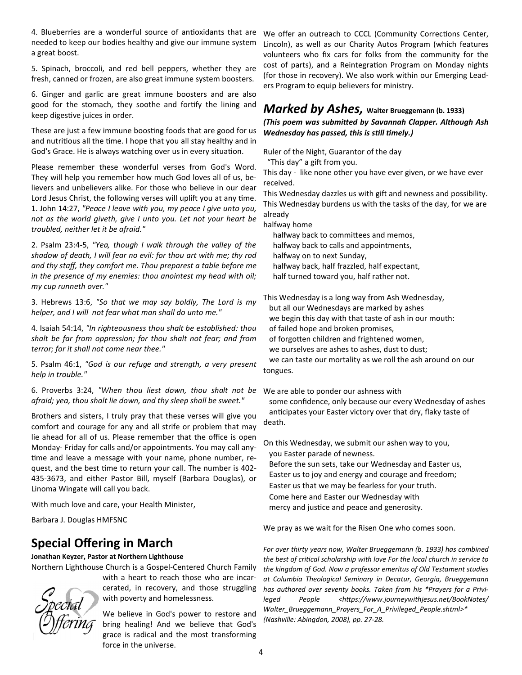4. Blueberries are a wonderful source of antioxidants that are We offer an outreach to CCCL (Community Corrections Center, needed to keep our bodies healthy and give our immune system a great boost.

5. Spinach, broccoli, and red bell peppers, whether they are fresh, canned or frozen, are also great immune system boosters.

6. Ginger and garlic are great immune boosters and are also good for the stomach, they soothe and fortify the lining and keep digestive juices in order.

These are just a few immune boosting foods that are good for us and nutritious all the time. I hope that you all stay healthy and in God's Grace. He is always watching over us in every situation.

Please remember these wonderful verses from God's Word. They will help you remember how much God loves all of us, believers and unbelievers alike. For those who believe in our dear Lord Jesus Christ, the following verses will uplift you at any time. 1. John 14:27, *"Peace I leave with you, my peace I give unto you, not as the world giveth, give I unto you. Let not your heart be troubled, neither let it be afraid."* 

2. Psalm 23:4-5, *"Yea, though I walk through the valley of the shadow of death, I will fear no evil: for thou art with me; thy rod and thy staff, they comfort me. Thou preparest a table before me in the presence of my enemies: thou anointest my head with oil; my cup runneth over."* 

3. Hebrews 13:6, *"So that we may say boldly, The Lord is my helper, and I will not fear what man shall do unto me."* 

4. Isaiah 54:14, *"In righteousness thou shalt be established: thou shalt be far from oppression; for thou shalt not fear; and from terror; for it shall not come near thee."*

5. Psalm 46:1, *"God is our refuge and strength, a very present help in trouble."* 

6. Proverbs 3:24, "When thou liest down, thou shalt not be We are able to ponder our ashness with *afraid; yea, thou shalt lie down, and thy sleep shall be sweet."* 

Brothers and sisters, I truly pray that these verses will give you comfort and courage for any and all strife or problem that may lie ahead for all of us. Please remember that the office is open Monday- Friday for calls and/or appointments. You may call any time and leave a message with your name, phone number, request, and the best time to return your call. The number is 402-435-3673, and either Pastor Bill, myself (Barbara Douglas), or Linoma Wingate will call you back.

With much love and care, your Health Minister,

Barbara J. Douglas HMFSNC

### **Special Offering in March**

#### **Jonathan Keyzer, Pastor at Northern Lighthouse**

Northern Lighthouse Church is a Gospel-Centered Church Family

with a heart to reach those who are incarcerated, in recovery, and those struggling with poverty and homelessness.

We believe in God's power to restore and bring healing! And we believe that God's grace is radical and the most transforming force in the universe.

Lincoln), as well as our Charity Autos Program (which features volunteers who fix cars for folks from the community for the cost of parts), and a Reintegration Program on Monday nights (for those in recovery). We also work within our Emerging Leaders Program to equip believers for ministry.

### *Marked by Ashes,* **Walter Brueggemann (b. 1933)**  *(This poem was submitted by Savannah Clapper. Although Ash Wednesday has passed, this is still timely.)*

Ruler of the Night, Guarantor of the day

"This day" a gift from you.

This day - like none other you have ever given, or we have ever received.

This Wednesday dazzles us with gift and newness and possibility. This Wednesday burdens us with the tasks of the day, for we are already

halfway home

halfway back to committees and memos, halfway back to calls and appointments, halfway on to next Sunday, halfway back, half frazzled, half expectant, half turned toward you, half rather not.

This Wednesday is a long way from Ash Wednesday,

but all our Wednesdays are marked by ashes

we begin this day with that taste of ash in our mouth:

of failed hope and broken promises,

of forgotten children and frightened women,

we ourselves are ashes to ashes, dust to dust;

 we can taste our mortality as we roll the ash around on our tongues.

 some confidence, only because our every Wednesday of ashes anticipates your Easter victory over that dry, flaky taste of death.

On this Wednesday, we submit our ashen way to you, you Easter parade of newness.

 Before the sun sets, take our Wednesday and Easter us, Easter us to joy and energy and courage and freedom;

Easter us that we may be fearless for your truth.

Come here and Easter our Wednesday with

mercy and justice and peace and generosity.

We pray as we wait for the Risen One who comes soon.

*For over thirty years now, Walter Brueggemann (b. 1933) has combined*  the best of critical scholarship with love For the local church in service to *the kingdom of God. Now a professor emeritus of Old Testament studies at Columbia Theological Seminary in Decatur, Georgia, Brueggemann has authored over seventy books. Taken from his \*Prayers for a Privi*leged People <https://www.journeywithjesus.net/BookNotes/ *Walter\_Brueggemann\_Prayers\_For\_A\_Privileged\_People.shtml>\* (Nashville: Abingdon, 2008), pp. 27-28.*